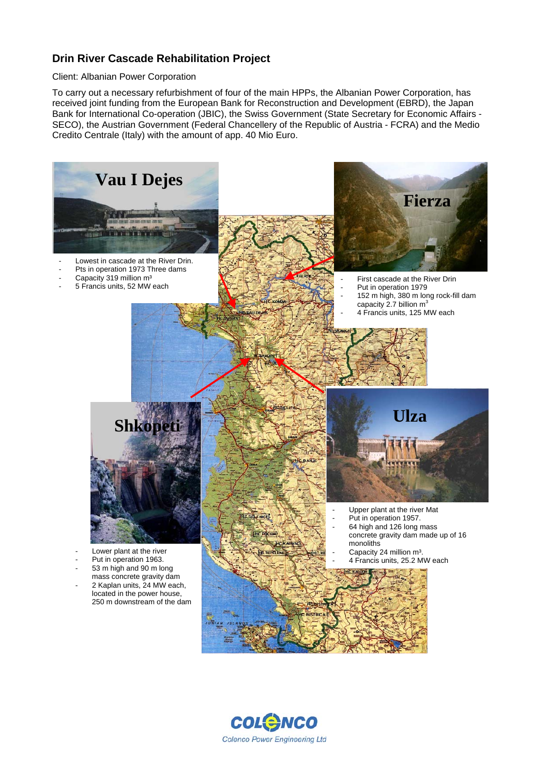## **Drin River Cascade Rehabilitation Project**

## Client: Albanian Power Corporation

To carry out a necessary refurbishment of four of the main HPPs, the Albanian Power Corporation, has received joint funding from the European Bank for Reconstruction and Development (EBRD), the Japan Bank for International Co-operation (JBIC), the Swiss Government (State Secretary for Economic Affairs - SECO), the Austrian Government (Federal Chancellery of the Republic of Austria - FCRA) and the Medio Credito Centrale (Italy) with the amount of app. 40 Mio Euro.